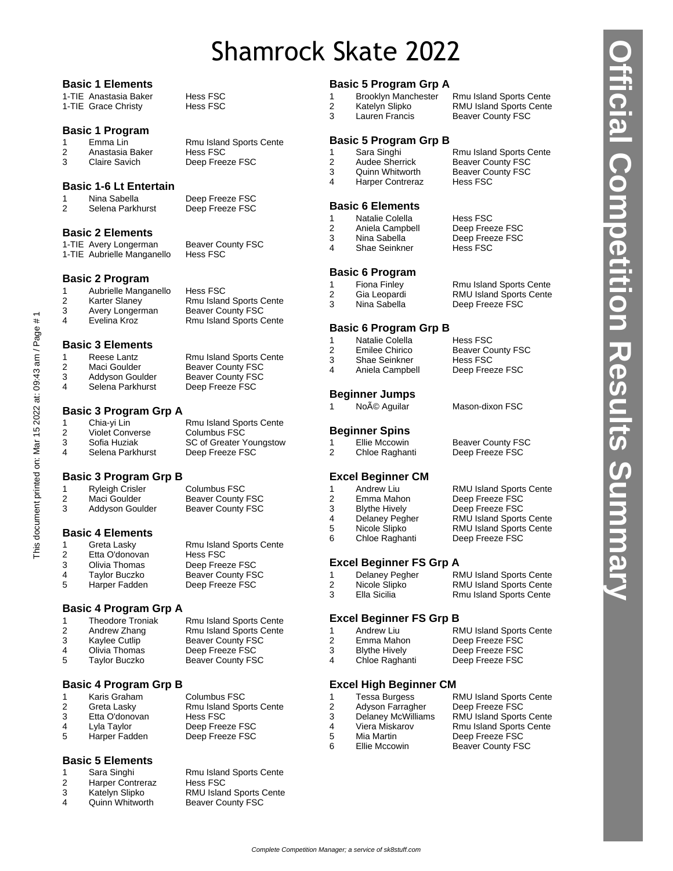# Shamrock Skate 2022

#### **Basic 1 Elements**

| 1-TIE Anastasia Baker | <b>Hess FSC</b> |
|-----------------------|-----------------|
| 1-TIE Grace Christy   | <b>Hess FSC</b> |

#### **Basic 1 Program**

1 Emma Lin Rmu Island Sports Cente 2 Anastasia Baker Hess FSC<br>3 Claire Savich Deep Free

#### **Basic 1-6 Lt Entertain**

Nina Sabella Deep Freeze FSC 2 Selena Parkhurst Deep Freeze FSC

**Basic 2 Elements**

1-TIE Avery Longerman Beaver County FSC 1-TIE Aubrielle Manganello Hess FSC

#### **Basic 2 Program**

1 Aubrielle Manganello Hess FSC<br>2 Karter Slaney Rmu Island Karter Slaney **Rmu Island Sports Cente**<br> **2** Avery Longerman Beaver County FSC 3 Avery Longerman Beaver County FSC 4 Evelina Kroz Rmu Island Sports Cente

#### **Basic 3 Elements**

1 Reese Lantz **Rmu Island Sports Cente** 2 Maci Goulder Beaver County FSC 3 Addyson Goulder Beaver County FSC<br>4 Selena Parkhurst Deep Freeze FSC

#### **Basic 3 Program Grp A**

This document printed on: Mar 15 2022 at: 09:43 am / Page # 1

This document printed on: Mar 15 2022 at: 09:43 am / Page # 1

| Chia-yi Lin            | <b>Rmu Island Sports Cente</b> |
|------------------------|--------------------------------|
| <b>Violet Converse</b> | Columbus FSC                   |
| Sofia Huziak           | <b>SC of Greater Youngstow</b> |
| Selena Parkhurst       | Deep Freeze FSC                |
|                        |                                |

Deep Freeze FSC

Deep Freeze FSC

#### **Basic 3 Program Grp B**

|   | <b>Ryleigh Crisler</b> | Columbus FSC             |
|---|------------------------|--------------------------|
| 2 | Maci Goulder           | <b>Beaver County FSC</b> |
| 3 | Addyson Goulder        | Beaver County FSC        |
|   |                        |                          |

#### **Basic 4 Elements**

| 1 | Greta Lasky    | <b>Rmu Island Sports Cente</b> |
|---|----------------|--------------------------------|
| 2 | Etta O'donovan | <b>Hess FSC</b>                |
| 3 | Olivia Thomas  | Deep Freeze FSC                |
| 4 | Taylor Buczko  | <b>Beaver County FSC</b>       |
| 5 | Harper Fadden  | Deep Freeze FSC                |

#### **Basic 4 Program Grp A**

|               | <b>Theodore Troniak</b> | Rmu Island Sports Cente        |
|---------------|-------------------------|--------------------------------|
| $\mathcal{P}$ | Andrew Zhang            | <b>Rmu Island Sports Cente</b> |
| 3             | Kaylee Cutlip           | <b>Beaver County FSC</b>       |
| 4             | Olivia Thomas           | Deep Freeze FSC                |
| -5            | Taylor Buczko           | <b>Beaver County FSC</b>       |
|               |                         |                                |

#### **Basic 4 Program Grp B**

|    | Karis Graham   | Columbus FSC                   |
|----|----------------|--------------------------------|
| 2  | Greta Lasky    | <b>Rmu Island Sports Cente</b> |
| 3  | Etta O'donovan | Hess FSC                       |
| 4  | Lyla Taylor    | Deep Freeze FSC                |
| -5 | Harper Fadden  | Deep Freeze FSC                |

#### **Basic 5 Elements**

| $\overline{1}$ | Sara Singhi             | <b>Rmu Island Sports Cente</b> |
|----------------|-------------------------|--------------------------------|
| 2              | <b>Harper Contreraz</b> | Hess FSC                       |
| 3              | Katelyn Slipko          | <b>RMU Island Sports Cente</b> |
| 4              | Quinn Whitworth         | <b>Beaver County FSC</b>       |

#### **Basic 5 Program Grp A**

| 1 | <b>Brooklyn Manchest</b> |
|---|--------------------------|
| 2 | Katelyn Slipko           |
| ົ | Lousse Escocio           |

ter Rmu Island Sports Cente RMU Island Sports Cente 3 Lauren Francis Beaver County FSC

#### **Basic 5 Program Grp B**

- Sara Singhi **Rmu Island Sports Cente**<br>1 **Audee Sherrick** Beaver County FSC 2 Audee Sherrick Beaver County FSC
- 3 Quinn Whitworth Beaver County FSC 4 Harper Contreraz Hess FSC

#### **Basic 6 Elements**

- 1 Natalie Colella Hess FSC 2 Aniela Campbell Deep Freeze FSC
- 
- 3 Nina Sabella Deep Freeze FSC<br>4 Shae Seinkner Hess FSC 4 Shae Seinkner

#### **Basic 6 Program**

Fiona Finley Rmu Island Sports Cente 2 Gia Leopardi RMU Island Sports Cente 3 Nina Sabella Deep Freeze FSC

#### **Basic 6 Program Grp B**

- 1 Natalie Colella Hess FSC 2 Emilee Chirico Beaver County FSC 3 Shae Seinkner Hess FSC
- 4 Aniela Campbell Deep Freeze FSC

#### **Beginner Jumps**

Noé Aguilar Mason-dixon FSC

#### **Beginner Spins**

- Ellie Mccowin Beaver County FSC<br>Chloe Raghanti Deep Freeze FSC 2 Chloe Raghanti Deep Freeze FSC
	-
- **Excel Beginner CM**<br>1 Andrew Liu
- 
- 2 Emma Mahon Deep Freeze FSC<br>3 Blythe Hively Deep Freeze FSC 3 Blythe Hively Deep Freeze FSC
- 4 Delaney Pegher RMU Island Sports Cente
- 5 Nicole Slipko RMU Island Sports Cente
- 6 Chloe Raghanti Deep Freeze FSC

#### **Excel Beginner FS Grp A**

3 Ella Sicilia Rmu Island Sports Cente

#### Delaney Pegher RMU Island Sports Cente 2 Nicole Slipko RMU Island Sports Cente

RMU Island Sports Cente

#### **Excel Beginner FS Grp B**

| -1            | Andrew Liu           | <b>RMU Island Sports Cente</b> |
|---------------|----------------------|--------------------------------|
| $\mathcal{P}$ | Emma Mahon           | Deep Freeze FSC                |
| -3            | <b>Blythe Hively</b> | Deep Freeze FSC                |
| 4             | Chloe Raghanti       | Deep Freeze FSC                |

#### **Excel High Beginner CM**

- 
- 

Tessa Burgess RMU Island Sports Cente<br>Adyson Farragher Deep Freeze FSC Adyson Farragher Deep Freeze FSC Delaney McWilliams RMU Island Sports Cente Viera Miskarov Rmu Island Sports Cente Mia Martin Deep Freeze FSC 6 Ellie Mccowin Beaver County FSC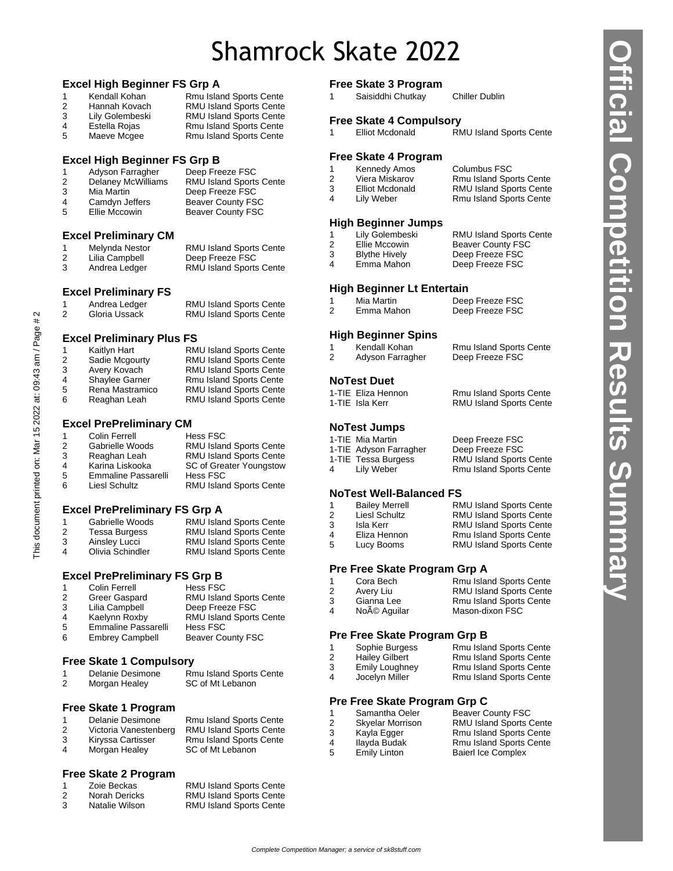# Shamrock Skate 2022

#### **Excel High Beginner FS Grp A**

| 1  | Kendall Kohan   | Rmu Island Sports Cente        |
|----|-----------------|--------------------------------|
| -2 | Hannah Kovach   | <b>RMU Island Sports Cente</b> |
| -3 | Lily Golembeski | <b>RMU Island Sports Cente</b> |
| 4  | Estella Rojas   | <b>Rmu Island Sports Cente</b> |
| -5 | Maeve Mcgee     | Rmu Island Sports Cente        |

#### **Excel High Beginner FS Grp B**

| $\overline{1}$ | Adyson Farragher          | Deep Freeze FSC                |
|----------------|---------------------------|--------------------------------|
| 2              | <b>Delaney McWilliams</b> | <b>RMU Island Sports Cente</b> |
| 3              | Mia Martin                | Deep Freeze FSC                |
| 4              | Camdyn Jeffers            | <b>Beaver County FSC</b>       |
| 5              | Ellie Mccowin             | <b>Beaver County FSC</b>       |
|                |                           |                                |

#### **Excel Preliminary CM**

|   | Melynda Nestor | <b>RMU Island Sports Cente</b> |
|---|----------------|--------------------------------|
| 2 | Lilia Campbell | Deep Freeze FSC                |
| 3 | Andrea Ledger  | <b>RMU Island Sports Cente</b> |

#### **Excel Preliminary FS**

|   | Andrea Ledger | <b>RMU Island Sports Cente</b> |
|---|---------------|--------------------------------|
| 2 | Gloria Ussack | <b>RMU Island Sports Cente</b> |

#### **Excel Preliminary Plus FS**

| Kaitlyn Hart          | <b>RMU Island Sports Cente</b> |
|-----------------------|--------------------------------|
| Sadie Mcgourty        | <b>RMU Island Sports Cente</b> |
| Avery Kovach          | <b>RMU Island Sports Cente</b> |
| <b>Shaylee Garner</b> | <b>Rmu Island Sports Cente</b> |
| Rena Mastramico       | <b>RMU Island Sports Cente</b> |
| Reaghan Leah          | <b>RMU Island Sports Cente</b> |
|                       |                                |

#### **Excel PrePreliminary CM**

|               | <b>Colin Ferrell</b> | <b>Hess FSC</b>                |
|---------------|----------------------|--------------------------------|
| $\mathcal{P}$ | Gabrielle Woods      | <b>RMU Island Sports Cente</b> |
| 3             | Reaghan Leah         | RMU Island Sports Cente        |
| 4             | Karina Liskooka      | SC of Greater Youngstow        |
| 5             | Emmaline Passarelli  | Hess FSC                       |
| 6             | Liesl Schultz        | RMU Island Sports Cente        |
|               |                      |                                |

#### **Excel PrePreliminary FS Grp A**

|   | Gabrielle Woods  | <b>RMU Island Sports Cente</b> |
|---|------------------|--------------------------------|
| 2 | Tessa Burgess    | <b>RMU Island Sports Cente</b> |
| 3 | Ainsley Lucci    | <b>RMU Island Sports Cente</b> |
| 4 | Olivia Schindler | <b>RMU Island Sports Cente</b> |
|   |                  |                                |

#### **Excel PrePreliminary FS Grp B**

| -1            | <b>Colin Ferrell</b>       | Hess FSC                       |
|---------------|----------------------------|--------------------------------|
| $\mathcal{P}$ | Greer Gaspard              | <b>RMU Island Sports Cente</b> |
| -3            | Lilia Campbell             | Deep Freeze FSC                |
|               | Kaelynn Roxby              | <b>RMU Island Sports Cente</b> |
| -5            | <b>Emmaline Passarelli</b> | Hess FSC                       |
| 6             | <b>Embrey Campbell</b>     | <b>Beaver County FSC</b>       |

#### **Free Skate 1 Compulsory**

#### 1 Delanie Desimone Rmu Island Sports Cente 2 Morgan Healey SC of Mt Lebanon

#### **Free Skate 1 Program**

| 2 | Delanie Desimone<br>Victoria Vanestenberg | <b>Rmu Island Sports Cente</b><br><b>RMU Island Sports Cente</b> |
|---|-------------------------------------------|------------------------------------------------------------------|
| 3 | Kiryssa Cartisser                         | <b>Rmu Island Sports Cente</b>                                   |
| 4 | Morgan Healey                             | SC of Mt Lebanon                                                 |

#### **Free Skate 2 Program**

|    | Zoie Beckas    | <b>RMU Island Sports Cente</b> |
|----|----------------|--------------------------------|
|    | Norah Dericks  | RMU Island Sports Cente        |
| -3 | Natalie Wilson | <b>RMU Island Sports Cente</b> |

#### **Free Skate 3 Program**

|  | Saisiddhi Chutkay | <b>Chiller Dublin</b> |
|--|-------------------|-----------------------|
|--|-------------------|-----------------------|

#### **Free Skate 4 Compulsory**

#### **Free Skate 4 Program**

| 1 | Kennedy Amos    |  |
|---|-----------------|--|
| 2 | Viera Miskarov  |  |
| 3 | Elliot Mcdonald |  |
| 4 | Lily Weber      |  |
|   |                 |  |

#### **High Beginner Jumps**

|   | Lily Golembeski      | <b>RMU Island Sports Cente</b> |
|---|----------------------|--------------------------------|
| 2 | Ellie Mccowin        | <b>Beaver County FSC</b>       |
| 3 | <b>Blythe Hively</b> | Deep Freeze FSC                |
| 4 | Emma Mahon           | Deep Freeze FSC                |

#### **High Beginner Lt Entertain**

|               | $\ldots$ g $\ldots$ |                 |
|---------------|---------------------|-----------------|
|               | Mia Martin          | Deep Freeze FSC |
| $\mathcal{P}$ | Emma Mahon          | Deep Freeze FSC |

#### **High Beginner Spins**

|   | Kendall Kohan    | <b>Rmu Island Sports Cente</b> |
|---|------------------|--------------------------------|
| 2 | Adyson Farragher | Deep Freeze FSC                |

#### **NoTest Duet**

| 1-TIE Eliza Hennon | Rmu Island Sports Cente        |
|--------------------|--------------------------------|
| 1-TIE Isla Kerr    | <b>RMU Island Sports Cente</b> |

#### **NoTest Jumps**

- 1-TIE Mia Martin Deep Freeze FSC 1-TIE Adyson Farragher Deep Freeze FSC<br>1-TIE Tessa Burgess RMU Island Sports
- 4 Lily Weber Rmu Island Sports Cente

#### **NoTest Well-Balanced FS**

| 1 | <b>Bailey Merrell</b> | <b>RMU Island Sports Cente</b> |
|---|-----------------------|--------------------------------|
| 2 | Liesl Schultz         | <b>RMU Island Sports Cente</b> |
| 3 | Isla Kerr             | <b>RMU Island Sports Cente</b> |
| 4 | Eliza Hennon          | <b>Rmu Island Sports Cente</b> |
| 5 | Lucy Booms            | <b>RMU Island Sports Cente</b> |
|   |                       |                                |

#### **Pre Free Skate Program Grp A**

|   | Cora Bech   | <b>Rmu Island Sports Cente</b> |
|---|-------------|--------------------------------|
| 2 | Avery Liu   | <b>RMU Island Sports Cente</b> |
| 3 | Gianna Lee  | <b>Rmu Island Sports Cente</b> |
| 4 | Noé Aguilar | Mason-dixon FSC                |
|   |             |                                |

#### **Pre Free Skate Program Grp B**

| 1 | Sophie Burgess        | <b>Rmu Island Sports Cente</b> |
|---|-----------------------|--------------------------------|
| 2 | <b>Hailey Gilbert</b> | <b>Rmu Island Sports Cente</b> |
| 3 | Emily Loughney        | <b>Rmu Island Sports Cente</b> |
| 4 | Jocelyn Miller        | <b>Rmu Island Sports Cente</b> |

#### **Pre Free Skate Program Grp C**

|  |  | Samantha Oele |
|--|--|---------------|
|  |  |               |

- 
- 
- 
- er Beaver County FSC 2 Skyelar Morrison RMU Island Sports Cente<br>3 Kayla Egger Rmu Island Sports Cente 3 Kayla Egger Rmu Island Sports Cente<br>4 Ilayda Budak Rmu Island Sports Cente Rmu Island Sports Cente 5 Emily Linton Baierl Ice Complex

# This document printed on: Mar 15 2022 at: 09:43 am / Page # 2 This document printed on: Mar 15 2022 at: 09:43 am / Page # 2

RMU Island Sports Cente

Rmu Island Sports Cente RMU Island Sports Cente Rmu Island Sports Cente

Columbus FSC

# RMU Island Sports Cente

**Official Competition Results Summary**

fficial Competition Results Summa